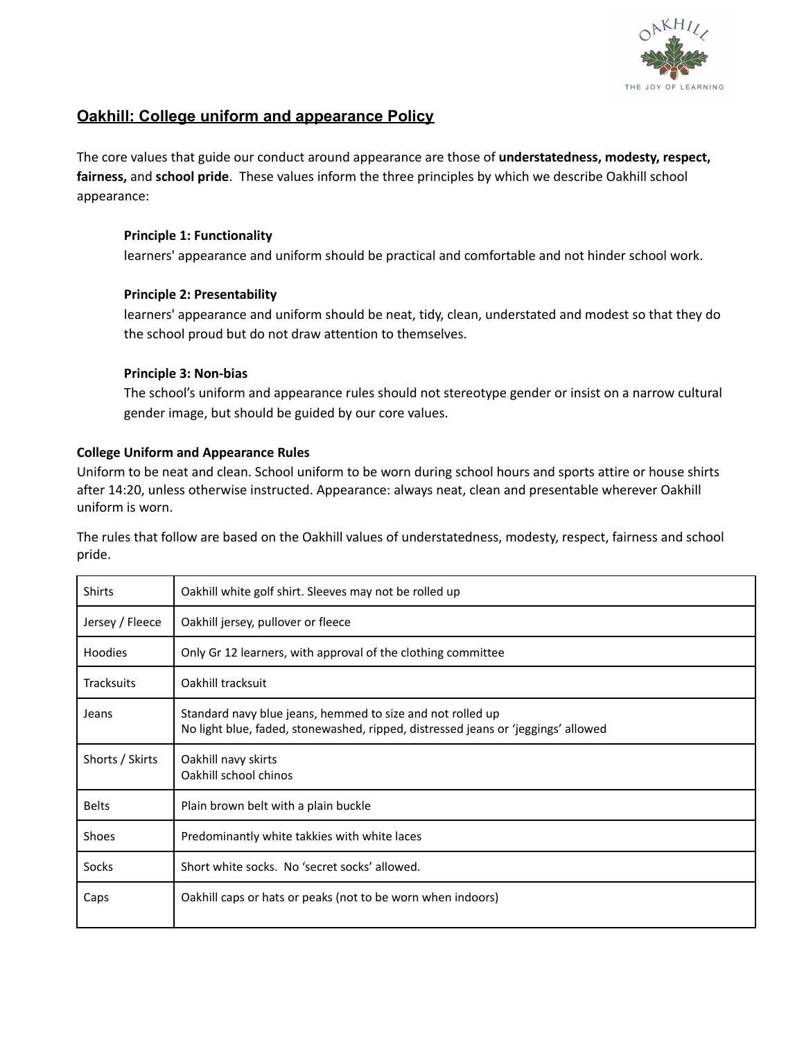

# **Oakhill: College uniform and appearance Policy**

The core values that guide our conduct around appearance are those of **understatedness, modesty, respect, fairness,** and **school pride**. These values inform the three principles by which we describe Oakhill school appearance:

## **Principle 1: Functionality**

learners' appearance and uniform should be practical and comfortable and not hinder school work.

## **Principle 2: Presentability**

learners' appearance and uniform should be neat, tidy, clean, understated and modest so that they do the school proud but do not draw attention to themselves.

### **Principle 3: Non-bias**

The school's uniform and appearance rules should not stereotype gender or insist on a narrow cultural gender image, but should be guided by our core values.

## **College Uniform and Appearance Rules**

Uniform to be neat and clean. School uniform to be worn during school hours and sports attire or house shirts after 14:20, unless otherwise instructed. Appearance: always neat, clean and presentable wherever Oakhill uniform is worn.

The rules that follow are based on the Oakhill values of understatedness, modesty, respect, fairness and school pride.

| <b>Shirts</b>     | Oakhill white golf shirt. Sleeves may not be rolled up                                                                                          |
|-------------------|-------------------------------------------------------------------------------------------------------------------------------------------------|
| Jersey / Fleece   | Oakhill jersey, pullover or fleece                                                                                                              |
| <b>Hoodies</b>    | Only Gr 12 learners, with approval of the clothing committee                                                                                    |
| <b>Tracksuits</b> | Oakhill tracksuit                                                                                                                               |
| Jeans             | Standard navy blue jeans, hemmed to size and not rolled up<br>No light blue, faded, stonewashed, ripped, distressed jeans or 'jeggings' allowed |
| Shorts / Skirts   | Oakhill navy skirts<br>Oakhill school chinos                                                                                                    |
| <b>Belts</b>      | Plain brown belt with a plain buckle                                                                                                            |
| Shoes             | Predominantly white takkies with white laces                                                                                                    |
| <b>Socks</b>      | Short white socks. No 'secret socks' allowed.                                                                                                   |
| Caps              | Oakhill caps or hats or peaks (not to be worn when indoors)                                                                                     |